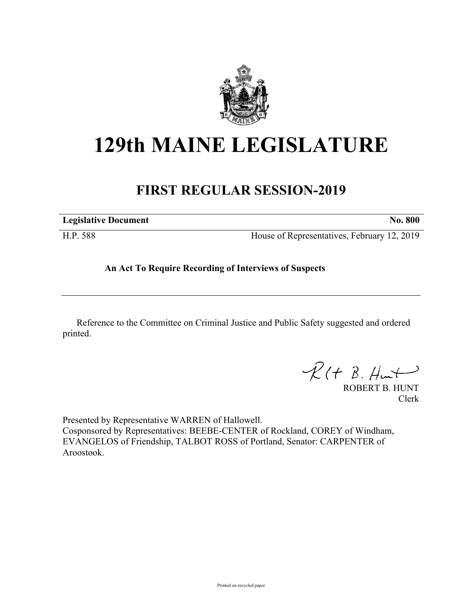

# **129th MAINE LEGISLATURE**

# **FIRST REGULAR SESSION-2019**

| <b>Legislative Document</b> | <b>No. 800</b>                              |
|-----------------------------|---------------------------------------------|
| H.P. 588                    | House of Representatives, February 12, 2019 |

## **An Act To Require Recording of Interviews of Suspects**

Reference to the Committee on Criminal Justice and Public Safety suggested and ordered printed.

 $R(H B. H<sub>ur</sub>)$ 

ROBERT B. HUNT Clerk

Presented by Representative WARREN of Hallowell. Cosponsored by Representatives: BEEBE-CENTER of Rockland, COREY of Windham, EVANGELOS of Friendship, TALBOT ROSS of Portland, Senator: CARPENTER of Aroostook.